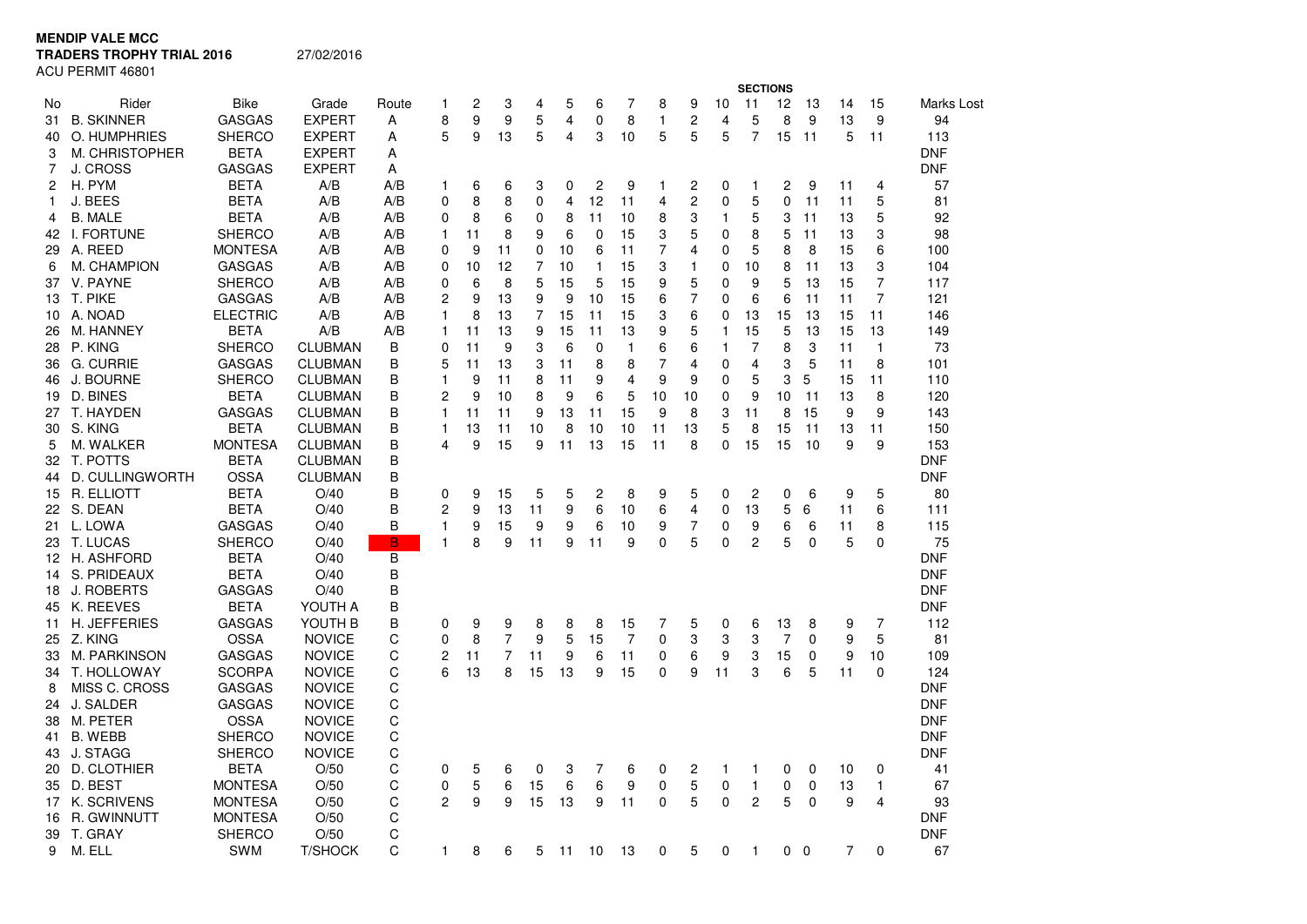**MENDIP VALE MCC**

**TRADERS TROPHY TRIAL 2016**

27/02/2016

ACU PERMIT 46801

|    |                    |                 |                |        |                |        |                | <b>SECTIONS</b> |         |                |                |              |                |              |                         |        |             |                |                |            |
|----|--------------------|-----------------|----------------|--------|----------------|--------|----------------|-----------------|---------|----------------|----------------|--------------|----------------|--------------|-------------------------|--------|-------------|----------------|----------------|------------|
| No | Rider              | <b>Bike</b>     | Grade          | Route  | 1              | 2      | 3              | 4               | 5       | 6              | 7              | 8            | 9              | 10           | 11                      | 12     | 13          | 14             | 15             | Marks Lost |
| 31 | <b>B. SKINNER</b>  | <b>GASGAS</b>   | <b>EXPERT</b>  | A      | 8              | 9      | 9              | 5               | 4       | $\mathbf 0$    | 8              | $\mathbf{1}$ | 2              | 4            | 5                       | 8      | 9           | 13             | 9              | 94         |
| 40 | O. HUMPHRIES       | <b>SHERCO</b>   | <b>EXPERT</b>  | Α      | 5              | 9      | 13             | 5               | 4       | 3              | 10             | 5            | 5              | 5            | $\overline{7}$          | 15     | 11          | 5              | 11             | 113        |
| 3  | M. CHRISTOPHER     | BETA            | <b>EXPERT</b>  | Α      |                |        |                |                 |         |                |                |              |                |              |                         |        |             |                |                | <b>DNF</b> |
| 7  | J. CROSS           | <b>GASGAS</b>   | <b>EXPERT</b>  | Α      |                |        |                |                 |         |                |                |              |                |              |                         |        |             |                |                | <b>DNF</b> |
| 2  | H. PYM             | BETA            | A/B            | A/B    | 1              | 6      | 6              | 3               | 0       | $\overline{c}$ | 9              | $\mathbf{1}$ | 2              | 0            | 1                       | 2      | 9           | 11             | 4              | 57         |
| 1  | J. BEES            | <b>BETA</b>     | A/B            | A/B    | 0              | 8      | 8              | 0               | 4       | 12             | 11             | 4            | 2              | 0            | 5                       | 0      | 11          | 11             | 5              | 81         |
| 4  | <b>B. MALE</b>     | BETA            | A/B            | A/B    | 0              | 8      | 6              | 0               | 8       | 11             | 10             | 8            | 3              | 1            | 5                       | 3      | 11          | 13             | 5              | 92         |
| 42 | I. FORTUNE         | <b>SHERCO</b>   | A/B            | A/B    | 1              | 11     | 8              | 9               | 6       | $\mathbf 0$    | 15             | 3            | 5              | 0            | 8                       | 5      | 11          | 13             | 3              | 98         |
|    | 29 A. REED         | <b>MONTESA</b>  | A/B            | A/B    | 0              | 9      | 11             | 0               | 10      | 6              | 11             | 7            | 4              | 0            | 5                       | 8      | 8           | 15             | 6              | 100        |
| 6  | M. CHAMPION        | <b>GASGAS</b>   | A/B            | A/B    | 0              | 10     | 12             | 7               | 10      | $\mathbf{1}$   | 15             | 3            | $\mathbf{1}$   | 0            | 10                      | 8      | 11          | 13             | 3              | 104        |
|    | 37 V. PAYNE        | <b>SHERCO</b>   | A/B            | A/B    | 0              | 6      | 8              | 5               | 15      | 5              | 15             | 9            | 5              | 0            | 9                       | 5      | 13          | 15             | 7              | 117        |
|    | 13 T. PIKE         | <b>GASGAS</b>   | A/B            | A/B    | $\overline{c}$ | 9      | 13             | 9               | 9       | 10             | 15             | 6            | $\overline{7}$ | 0            | 6                       | 6      | 11          | 11             | $\overline{7}$ | 121        |
|    | 10 A. NOAD         | <b>ELECTRIC</b> | A/B            | A/B    | 1              | 8      | 13             | 7               | 15      | 11             | 15             | 3            | 6              | 0            | 13                      | 15     | 13          | 15             | 11             | 146        |
| 26 | M. HANNEY          | BETA            | A/B            | A/B    | 1              | 11     | 13             | 9               | 15      | 11             | 13             | 9            | 5              | $\mathbf{1}$ | 15                      | 5      | 13          | 15             | 13             | 149        |
|    | 28 P. KING         | <b>SHERCO</b>   | <b>CLUBMAN</b> | B      | $\Omega$       | 11     | 9              | 3               | 6       | 0              | $\mathbf{1}$   | 6            | 6              | 1            | $\overline{7}$          | 8      | 3           | 11             | 1              | 73         |
|    | 36 G. CURRIE       | <b>GASGAS</b>   | <b>CLUBMAN</b> | B      | 5              | 11     | 13             | 3               | 11      | 8              | 8              | 7            | 4              | 0            | $\overline{\mathbf{4}}$ | 3      | 5           | 11             | 8              | 101        |
| 46 | J. BOURNE          | <b>SHERCO</b>   | <b>CLUBMAN</b> | B      | $\mathbf{1}$   | 9      | 11             | 8               | 11      | 9              | 4              | 9            | 9              | 0            | 5                       | 3      | 5           | 15             | 11             | 110        |
|    | 19 D. BINES        | BETA            | <b>CLUBMAN</b> | B      | 2              | 9      | 10             | 8               | 9       | 6              | 5              | 10           | 10             | 0            | 9                       | 10     | 11          | 13             | 8              | 120        |
| 27 | T. HAYDEN          | <b>GASGAS</b>   | <b>CLUBMAN</b> | В      | 1              | 11     | 11             | 9               | 13      | 11             | 15             | 9            | 8              | 3            | 11                      | 8      | 15          | 9              | 9              | 143        |
| 30 | S. KING            | <b>BETA</b>     | <b>CLUBMAN</b> | В      | 1              | 13     | 11             | 10              | 8       | 10             | 10             | 11           | 13             | 5            | 8                       | 15     | 11          | 13             | 11             | 150        |
| 5  | M. WALKER          | <b>MONTESA</b>  | <b>CLUBMAN</b> | B      | 4              | 9      | 15             | 9               | 11      | 13             | 15             | 11           | 8              | 0            | 15                      | 15     | 10          | 9              | 9              | 153        |
|    | 32 T. POTTS        | BETA            | <b>CLUBMAN</b> | B      |                |        |                |                 |         |                |                |              |                |              |                         |        |             |                |                | <b>DNF</b> |
|    | 44 D. CULLINGWORTH | <b>OSSA</b>     | <b>CLUBMAN</b> | B      |                |        |                |                 |         |                |                |              |                |              |                         |        |             |                |                | DNF        |
| 15 | R. ELLIOTT         | <b>BETA</b>     | O/40           | B      | 0              | 9      | 15             | 5               | 5       | 2              | 8              | 9            | 5              | 0            | $\overline{c}$          | 0      | 6           | 9              | 5              | 80         |
|    | 22 S. DEAN         | <b>BETA</b>     | O/40           | B      | 2              | 9      | 13             | 11              | 9       | 6              | 10             | 6            | 4              | 0            | 13                      | 5      | 6           | 11             | 6              | 111        |
| 21 | L. LOWA            | <b>GASGAS</b>   | O/40           | B      | 1              | 9      | 15             | 9               | 9       | 6              | 10             | 9            | 7              | 0            | 9                       | 6      | 6           | 11             | 8              | 115        |
|    | 23 T. LUCAS        | <b>SHERCO</b>   | O/40           | B      | 1              | 8      | 9              | 11              | 9       | 11             | 9              | 0            | 5              | 0            | $\overline{c}$          | 5      | $\Omega$    | 5              | 0              | 75         |
|    | 12 H. ASHFORD      | <b>BETA</b>     | O/40           | B      |                |        |                |                 |         |                |                |              |                |              |                         |        |             |                |                | <b>DNF</b> |
| 14 | S. PRIDEAUX        | <b>BETA</b>     | O/40           | B      |                |        |                |                 |         |                |                |              |                |              |                         |        |             |                |                | <b>DNF</b> |
|    | 18 J. ROBERTS      | <b>GASGAS</b>   | O/40           | B      |                |        |                |                 |         |                |                |              |                |              |                         |        |             |                |                | <b>DNF</b> |
| 45 | K. REEVES          | BETA            | YOUTH A        | B      |                |        |                |                 |         |                |                |              |                |              |                         |        |             |                |                | DNF        |
| 11 | H. JEFFERIES       | <b>GASGAS</b>   | YOUTH B        | B      | 0              | 9      | 9              | 8               | 8       | 8              | 15             | 7            | 5              | 0            | 6                       | 13     | 8           | 9              | 7              | 112        |
|    | 25 Z. KING         | <b>OSSA</b>     | <b>NOVICE</b>  | С      | $\mathbf{0}$   | 8      | $\overline{7}$ | 9               | 5       | 15             | $\overline{7}$ | 0            | 3              | 3            | 3                       | 7      | $\Omega$    | 9              | 5              | 81         |
| 33 | M. PARKINSON       | <b>GASGAS</b>   | <b>NOVICE</b>  | C      | 2              | 11     | 7              | 11              | 9       | 6              | 11             | 0            | 6              | 9            | 3                       | 15     | 0           | 9              | 10             | 109        |
| 34 | T. HOLLOWAY        | <b>SCORPA</b>   | <b>NOVICE</b>  | C      | 6              | 13     | 8              | 15              | 13      | 9              | 15             | 0            | 9              | 11           | 3                       | 6      | 5           | 11             | 0              | 124        |
| 8  | MISS C. CROSS      | <b>GASGAS</b>   | <b>NOVICE</b>  | C      |                |        |                |                 |         |                |                |              |                |              |                         |        |             |                |                | <b>DNF</b> |
| 24 | J. SALDER          | <b>GASGAS</b>   | <b>NOVICE</b>  | C      |                |        |                |                 |         |                |                |              |                |              |                         |        |             |                |                | <b>DNF</b> |
| 38 | M. PETER           | <b>OSSA</b>     | <b>NOVICE</b>  | C      |                |        |                |                 |         |                |                |              |                |              |                         |        |             |                |                | <b>DNF</b> |
| 41 | <b>B. WEBB</b>     | <b>SHERCO</b>   | <b>NOVICE</b>  | C      |                |        |                |                 |         |                |                |              |                |              |                         |        |             |                |                | DNF        |
| 43 | J. STAGG           | <b>SHERCO</b>   | <b>NOVICE</b>  | C      |                |        |                |                 |         |                |                |              |                |              |                         |        |             |                |                | <b>DNF</b> |
|    | 20 D. CLOTHIER     | BETA            | O/50           | С      | 0              | 5      | 6              | 0               | 3       | 7              | 6              | 0            | 2              | 1            | 1                       | 0      | 0           | 10             | 0              | 41         |
|    | 35 D. BEST         | <b>MONTESA</b>  | O/50           |        | 0              |        | 6              | 15              |         | 6              | 9              | 0            | 5              |              | 1                       |        | 0           |                |                | 67         |
| 17 | K. SCRIVENS        | <b>MONTESA</b>  | O/50           | С<br>С | 2              | 5<br>9 | 9              | 15              | 6<br>13 | 9              | 11             | 0            | 5              | 0<br>0       | 2                       | 0<br>5 | $\Omega$    | 13<br>9        | 1<br>4         | 93         |
|    | r. Gwinnutt        | <b>MONTESA</b>  | O/50           | С      |                |        |                |                 |         |                |                |              |                |              |                         |        |             |                |                | <b>DNF</b> |
| 16 |                    |                 | O/50           |        |                |        |                |                 |         |                |                |              |                |              |                         |        |             |                |                | <b>DNF</b> |
|    | 39 T. GRAY         | <b>SHERCO</b>   |                | C<br>C |                |        |                |                 |         |                |                |              |                |              |                         |        |             | $\overline{7}$ |                |            |
| 9  | M. ELL             | SWM             | <b>T/SHOCK</b> |        | 1              | 8      | 6              | 5               | 11      | 10             | 13             | 0            | 5              | $\Omega$     | 1                       | 0      | $\mathbf 0$ |                | $\Omega$       | 67         |